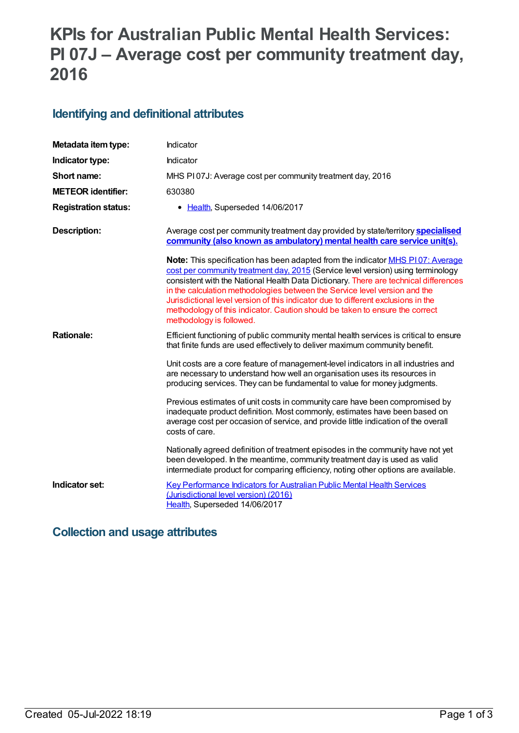# **KPIs for Australian Public Mental Health Services: PI 07J – Average cost per community treatment day, 2016**

#### **Identifying and definitional attributes**

| Metadata item type:         | Indicator                                                                                                                                                                                                                                                                                                                                                                                                                                                                                                                                               |
|-----------------------------|---------------------------------------------------------------------------------------------------------------------------------------------------------------------------------------------------------------------------------------------------------------------------------------------------------------------------------------------------------------------------------------------------------------------------------------------------------------------------------------------------------------------------------------------------------|
| Indicator type:             | Indicator                                                                                                                                                                                                                                                                                                                                                                                                                                                                                                                                               |
| Short name:                 | MHS PI07J: Average cost per community treatment day, 2016                                                                                                                                                                                                                                                                                                                                                                                                                                                                                               |
| <b>METEOR</b> identifier:   | 630380                                                                                                                                                                                                                                                                                                                                                                                                                                                                                                                                                  |
| <b>Registration status:</b> | • Health, Superseded 14/06/2017                                                                                                                                                                                                                                                                                                                                                                                                                                                                                                                         |
| <b>Description:</b>         | Average cost per community treatment day provided by state/territory <b>specialised</b><br>community (also known as ambulatory) mental health care service unit(s).                                                                                                                                                                                                                                                                                                                                                                                     |
|                             | <b>Note:</b> This specification has been adapted from the indicator <b>MHS P107: Average</b><br>cost per community treatment day, 2015 (Service level version) using terminology<br>consistent with the National Health Data Dictionary. There are technical differences<br>in the calculation methodologies between the Service level version and the<br>Jurisdictional level version of this indicator due to different exclusions in the<br>methodology of this indicator. Caution should be taken to ensure the correct<br>methodology is followed. |
| <b>Rationale:</b>           | Efficient functioning of public community mental health services is critical to ensure<br>that finite funds are used effectively to deliver maximum community benefit.                                                                                                                                                                                                                                                                                                                                                                                  |
|                             | Unit costs are a core feature of management-level indicators in all industries and<br>are necessary to understand how well an organisation uses its resources in<br>producing services. They can be fundamental to value for money judgments.                                                                                                                                                                                                                                                                                                           |
|                             | Previous estimates of unit costs in community care have been compromised by<br>inadequate product definition. Most commonly, estimates have been based on<br>average cost per occasion of service, and provide little indication of the overall<br>costs of care.                                                                                                                                                                                                                                                                                       |
|                             | Nationally agreed definition of treatment episodes in the community have not yet<br>been developed. In the meantime, community treatment day is used as valid<br>intermediate product for comparing efficiency, noting other options are available.                                                                                                                                                                                                                                                                                                     |
| Indicator set:              | <b>Key Performance Indicators for Australian Public Mental Health Services</b><br>(Jurisdictional level version) (2016)<br>Health, Superseded 14/06/2017                                                                                                                                                                                                                                                                                                                                                                                                |

#### **Collection and usage attributes**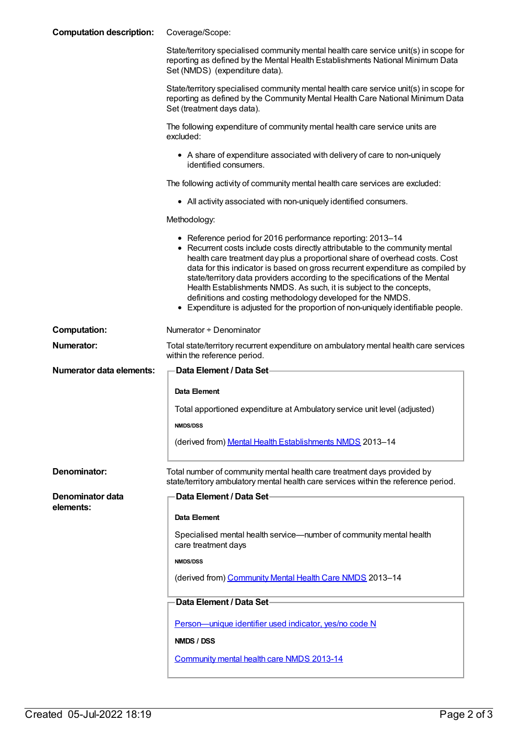| <b>Computation description:</b> | Coverage/Scope:                                                                                                                                                                                                                                                                                                                                                                                                                                                                                                                                                                                                         |
|---------------------------------|-------------------------------------------------------------------------------------------------------------------------------------------------------------------------------------------------------------------------------------------------------------------------------------------------------------------------------------------------------------------------------------------------------------------------------------------------------------------------------------------------------------------------------------------------------------------------------------------------------------------------|
|                                 | State/territory specialised community mental health care service unit(s) in scope for<br>reporting as defined by the Mental Health Establishments National Minimum Data<br>Set (NMDS) (expenditure data).                                                                                                                                                                                                                                                                                                                                                                                                               |
|                                 | State/territory specialised community mental health care service unit(s) in scope for<br>reporting as defined by the Community Mental Health Care National Minimum Data<br>Set (treatment days data).                                                                                                                                                                                                                                                                                                                                                                                                                   |
|                                 | The following expenditure of community mental health care service units are<br>excluded:                                                                                                                                                                                                                                                                                                                                                                                                                                                                                                                                |
|                                 | • A share of expenditure associated with delivery of care to non-uniquely<br>identified consumers.                                                                                                                                                                                                                                                                                                                                                                                                                                                                                                                      |
|                                 | The following activity of community mental health care services are excluded:                                                                                                                                                                                                                                                                                                                                                                                                                                                                                                                                           |
|                                 | • All activity associated with non-uniquely identified consumers.                                                                                                                                                                                                                                                                                                                                                                                                                                                                                                                                                       |
|                                 | Methodology:                                                                                                                                                                                                                                                                                                                                                                                                                                                                                                                                                                                                            |
|                                 | • Reference period for 2016 performance reporting: 2013-14<br>• Recurrent costs include costs directly attributable to the community mental<br>health care treatment day plus a proportional share of overhead costs. Cost<br>data for this indicator is based on gross recurrent expenditure as compiled by<br>state/territory data providers according to the specifications of the Mental<br>Health Establishments NMDS. As such, it is subject to the concepts,<br>definitions and costing methodology developed for the NMDS.<br>• Expenditure is adjusted for the proportion of non-uniquely identifiable people. |
| <b>Computation:</b>             | Numerator + Denominator                                                                                                                                                                                                                                                                                                                                                                                                                                                                                                                                                                                                 |
| <b>Numerator:</b>               | Total state/territory recurrent expenditure on ambulatory mental health care services<br>within the reference period.                                                                                                                                                                                                                                                                                                                                                                                                                                                                                                   |
| <b>Numerator data elements:</b> | Data Element / Data Set-                                                                                                                                                                                                                                                                                                                                                                                                                                                                                                                                                                                                |
|                                 |                                                                                                                                                                                                                                                                                                                                                                                                                                                                                                                                                                                                                         |
|                                 | Data Element                                                                                                                                                                                                                                                                                                                                                                                                                                                                                                                                                                                                            |
|                                 | Total apportioned expenditure at Ambulatory service unit level (adjusted)                                                                                                                                                                                                                                                                                                                                                                                                                                                                                                                                               |
|                                 | <b>NMDS/DSS</b>                                                                                                                                                                                                                                                                                                                                                                                                                                                                                                                                                                                                         |
|                                 | (derived from) Mental Health Establishments NMDS 2013-14                                                                                                                                                                                                                                                                                                                                                                                                                                                                                                                                                                |
| Denominator:                    | Total number of community mental health care treatment days provided by<br>state/territory ambulatory mental health care services within the reference period.                                                                                                                                                                                                                                                                                                                                                                                                                                                          |
| Denominator data                | Data Element / Data Set-                                                                                                                                                                                                                                                                                                                                                                                                                                                                                                                                                                                                |
| elements:                       | Data Element                                                                                                                                                                                                                                                                                                                                                                                                                                                                                                                                                                                                            |
|                                 | Specialised mental health service—number of community mental health<br>care treatment days                                                                                                                                                                                                                                                                                                                                                                                                                                                                                                                              |
|                                 | <b>NMDS/DSS</b>                                                                                                                                                                                                                                                                                                                                                                                                                                                                                                                                                                                                         |
|                                 | (derived from) Community Mental Health Care NMDS 2013-14                                                                                                                                                                                                                                                                                                                                                                                                                                                                                                                                                                |
|                                 | Data Element / Data Set                                                                                                                                                                                                                                                                                                                                                                                                                                                                                                                                                                                                 |
|                                 | Person-unique identifier used indicator, yes/no code N                                                                                                                                                                                                                                                                                                                                                                                                                                                                                                                                                                  |
|                                 | NMDS / DSS                                                                                                                                                                                                                                                                                                                                                                                                                                                                                                                                                                                                              |